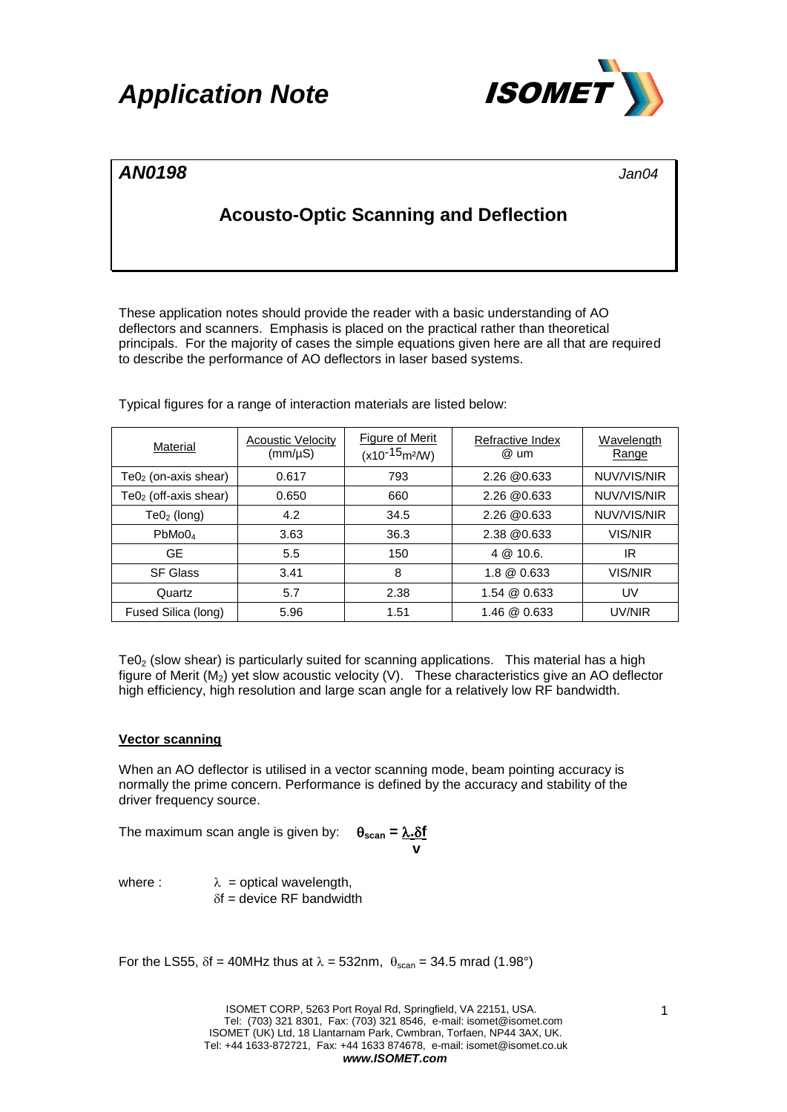## *Application Note* ISOMET



### *AN0198 Jan04*

### **Acousto-Optic Scanning and Deflection**

These application notes should provide the reader with a basic understanding of AO deflectors and scanners. Emphasis is placed on the practical rather than theoretical principals. For the majority of cases the simple equations given here are all that are required to describe the performance of AO deflectors in laser based systems.

| Material                | <b>Acoustic Velocity</b><br>$(mm/\mu S)$ | <b>Figure of Merit</b><br>$(x10^{-15} \text{m}^2/\text{W})$ | Refractive Index<br>@ um | Wavelength<br>Range |
|-------------------------|------------------------------------------|-------------------------------------------------------------|--------------------------|---------------------|
| $Te02$ (on-axis shear)  | 0.617                                    | 793                                                         | $2.26 \& 0.633$          | NUV/VIS/NIR         |
| $Te02$ (off-axis shear) | 0.650                                    | 660                                                         | 2.26 @0.633              | NUV/VIS/NIR         |
| $Te02$ (long)           | 4.2                                      | 34.5                                                        | 2.26 @0.633              | NUV/VIS/NIR         |
| PbMo0 <sub>4</sub>      | 3.63                                     | 36.3                                                        | 2.38 @0.633              | VIS/NIR             |
| <b>GE</b>               | 5.5                                      | 150                                                         | 4 @ 10.6.                | IR                  |
| <b>SF Glass</b>         | 3.41                                     | 8                                                           | 1.8 @ 0.633              | VIS/NIR             |
| Quartz                  | 5.7                                      | 2.38                                                        | 1.54 @ 0.633             | UV                  |
| Fused Silica (long)     | 5.96                                     | 1.51                                                        | 1.46 @ 0.633             | UV/NIR              |

Typical figures for a range of interaction materials are listed below:

 $TeO<sub>2</sub>$  (slow shear) is particularly suited for scanning applications. This material has a high figure of Merit  $(M_2)$  yet slow acoustic velocity (V). These characteristics give an AO deflector high efficiency, high resolution and large scan angle for a relatively low RF bandwidth.

### **Vector scanning**

When an AO deflector is utilised in a vector scanning mode, beam pointing accuracy is normally the prime concern. Performance is defined by the accuracy and stability of the driver frequency source.

The maximum scan angle is given by:  $\theta_{\text{scan}} = \frac{\lambda.\delta f}{\lambda}$ 

where :  $\lambda$  = optical wavelength,  $\delta f$  = device RF bandwidth

For the LS55,  $\delta f = 40$ MHz thus at  $\lambda = 532$ nm,  $\theta_{\text{scan}} = 34.5$  mrad (1.98°)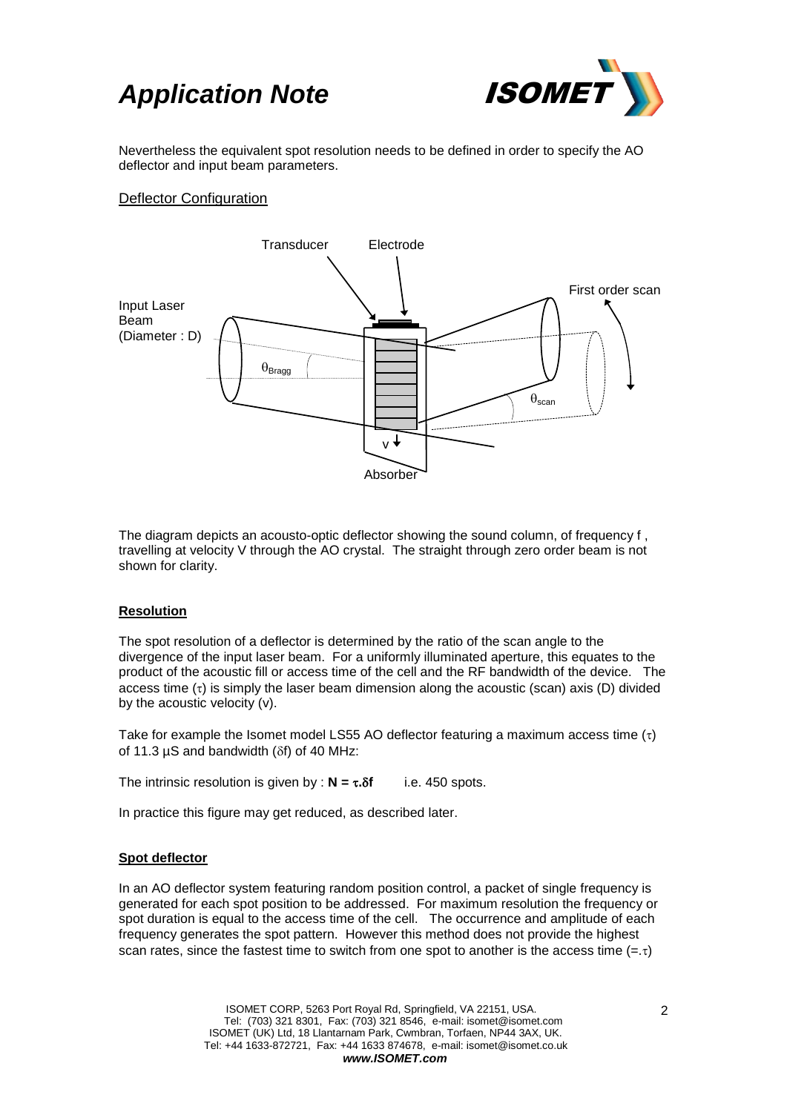### **Application Note /SOME**



Nevertheless the equivalent spot resolution needs to be defined in order to specify the AO deflector and input beam parameters.

### Deflector Configuration



The diagram depicts an acousto-optic deflector showing the sound column, of frequency f , travelling at velocity V through the AO crystal. The straight through zero order beam is not shown for clarity.

#### **Resolution**

The spot resolution of a deflector is determined by the ratio of the scan angle to the divergence of the input laser beam. For a uniformly illuminated aperture, this equates to the product of the acoustic fill or access time of the cell and the RF bandwidth of the device. The access time  $(\tau)$  is simply the laser beam dimension along the acoustic (scan) axis (D) divided by the acoustic velocity (v).

Take for example the Isomet model LS55 AO deflector featuring a maximum access time  $(\tau)$ of 11.3  $\mu$ S and bandwidth ( $\delta$ f) of 40 MHz:

The intrinsic resolution is given by :  $N = \tau \cdot \delta f$  i.e. 450 spots.

In practice this figure may get reduced, as described later.

#### **Spot deflector**

In an AO deflector system featuring random position control, a packet of single frequency is generated for each spot position to be addressed. For maximum resolution the frequency or spot duration is equal to the access time of the cell. The occurrence and amplitude of each frequency generates the spot pattern. However this method does not provide the highest scan rates, since the fastest time to switch from one spot to another is the access time  $(=\tau)$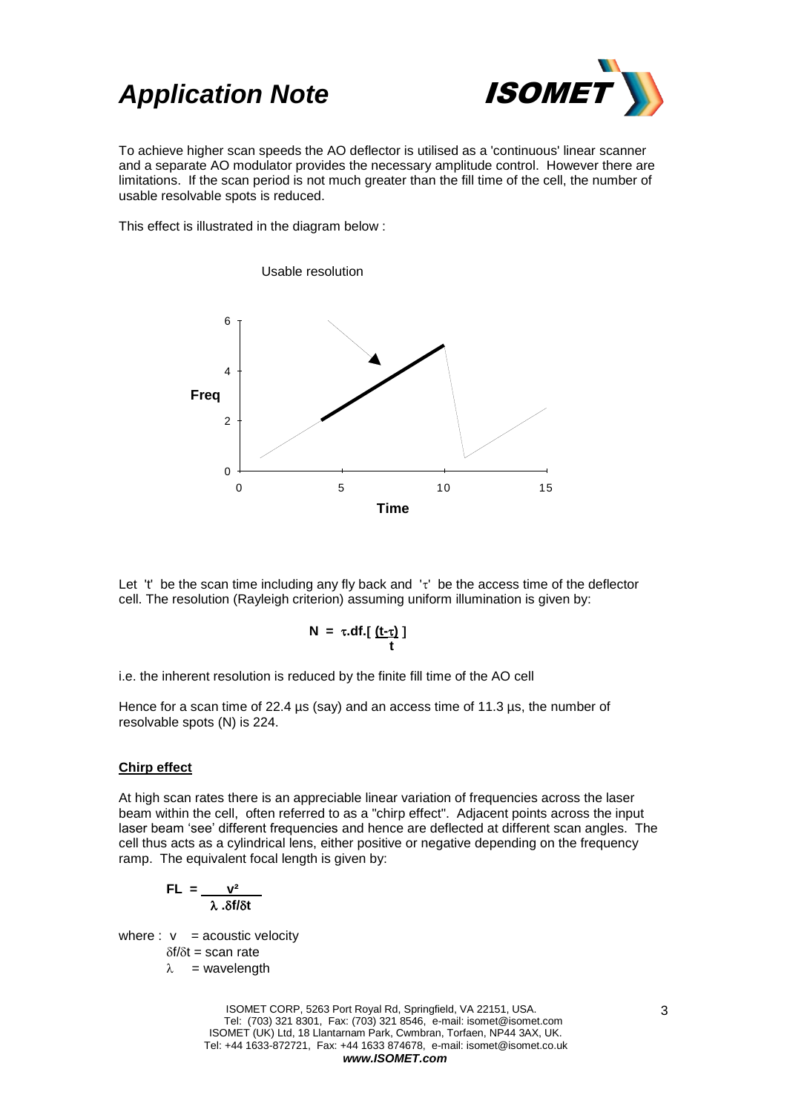### **Application Note <b>ISOME**



To achieve higher scan speeds the AO deflector is utilised as a 'continuous' linear scanner and a separate AO modulator provides the necessary amplitude control. However there are limitations. If the scan period is not much greater than the fill time of the cell, the number of usable resolvable spots is reduced.

This effect is illustrated in the diagram below :



Let 't' be the scan time including any fly back and  $\mathbf{r}'$  be the access time of the deflector cell. The resolution (Rayleigh criterion) assuming uniform illumination is given by:

$$
N = \tau \cdot df \cdot \left[ \frac{(t-\tau)}{t} \right]
$$

i.e. the inherent resolution is reduced by the finite fill time of the AO cell

Hence for a scan time of 22.4 µs (say) and an access time of 11.3 µs, the number of resolvable spots (N) is 224.

#### **Chirp effect**

At high scan rates there is an appreciable linear variation of frequencies across the laser beam within the cell, often referred to as a "chirp effect". Adjacent points across the input laser beam 'see' different frequencies and hence are deflected at different scan angles. The cell thus acts as a cylindrical lens, either positive or negative depending on the frequency ramp. The equivalent focal length is given by:

$$
FL = \frac{v^2}{\lambda . \delta f/\delta t}
$$

where :  $v =$  acoustic velocity

 $\delta f/\delta t$  = scan rate

$$
\lambda = \text{wavelength}
$$

ISOMET CORP, 5263 Port Royal Rd, Springfield, VA 22151, USA. Tel: (703) 321 8301, Fax: (703) 321 8546, e-mail: isomet@isomet.com ISOMET (UK) Ltd, 18 Llantarnam Park, Cwmbran, Torfaen, NP44 3AX, UK. Tel: +44 1633-872721, Fax: +44 1633 874678, e-mail: isomet@isomet.co.uk *www.ISOMET.com*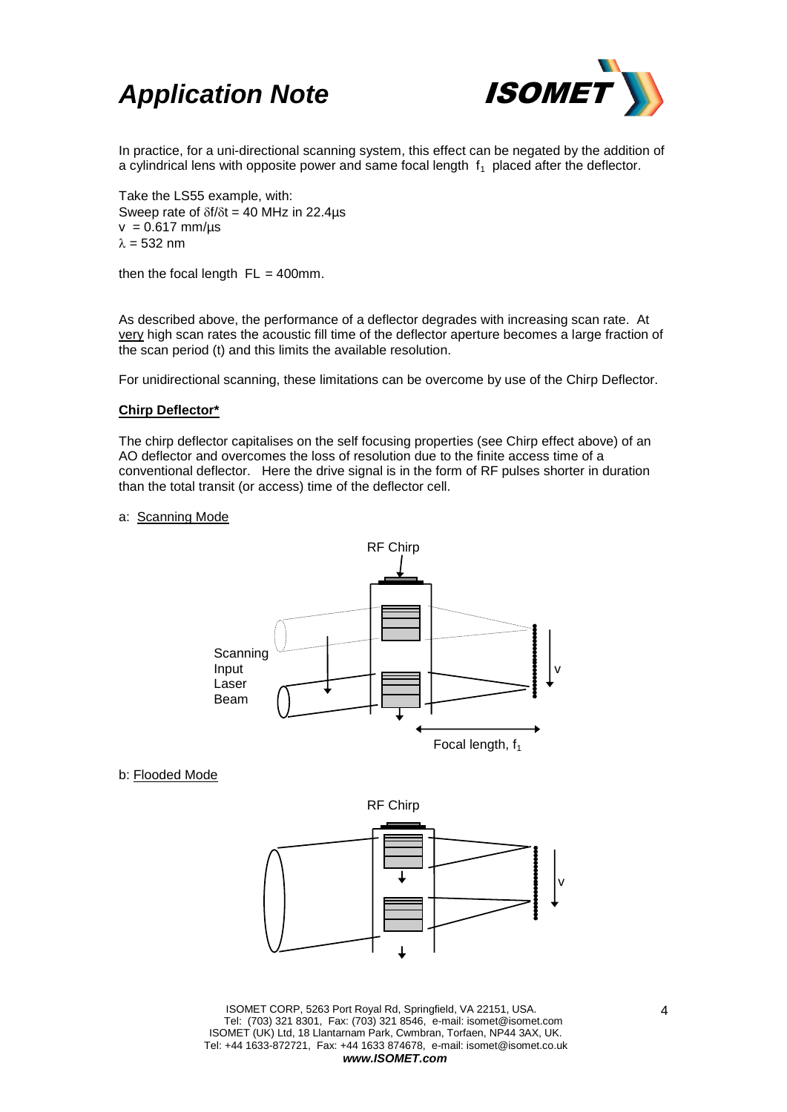



In practice, for a uni-directional scanning system, this effect can be negated by the addition of a cylindrical lens with opposite power and same focal length  $f_1$  placed after the deflector.

Take the LS55 example, with: Sweep rate of  $\delta f/\delta t = 40$  MHz in 22.4µs  $v = 0.617$  mm/us  $\lambda = 532$  nm

then the focal length  $FL = 400$ mm.

As described above, the performance of a deflector degrades with increasing scan rate. At very high scan rates the acoustic fill time of the deflector aperture becomes a large fraction of the scan period (t) and this limits the available resolution.

For unidirectional scanning, these limitations can be overcome by use of the Chirp Deflector.

#### **Chirp Deflector\***

The chirp deflector capitalises on the self focusing properties (see Chirp effect above) of an AO deflector and overcomes the loss of resolution due to the finite access time of a conventional deflector. Here the drive signal is in the form of RF pulses shorter in duration than the total transit (or access) time of the deflector cell.

#### a: Scanning Mode



b: Flooded Mode



ISOMET CORP, 5263 Port Royal Rd, Springfield, VA 22151, USA. Tel: (703) 321 8301, Fax: (703) 321 8546, e-mail: isomet@isomet.com ISOMET (UK) Ltd, 18 Llantarnam Park, Cwmbran, Torfaen, NP44 3AX, UK. Tel: +44 1633-872721, Fax: +44 1633 874678, e-mail: isomet@isomet.co.uk *www.ISOMET.com*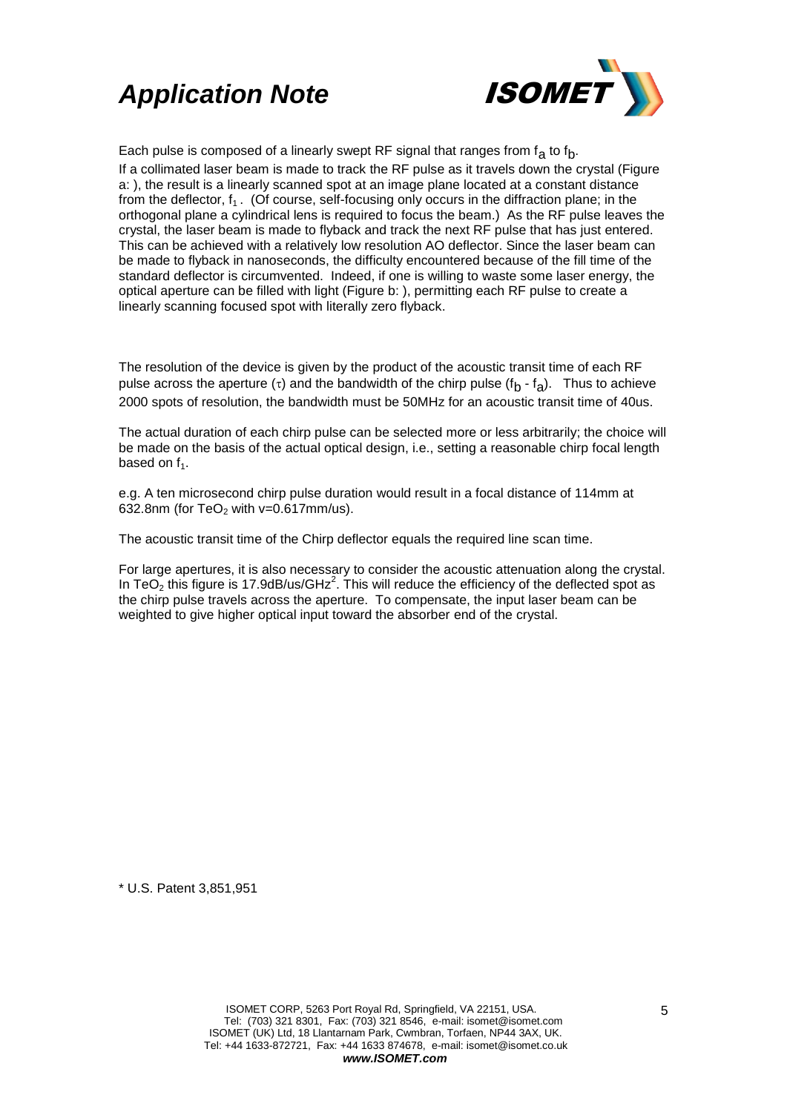# *Application Note* ISOMET



Each pulse is composed of a linearly swept RF signal that ranges from  $f_{\mathbf{a}}$  to  $f_{\mathbf{b}}$ . If a collimated laser beam is made to track the RF pulse as it travels down the crystal (Figure a: ), the result is a linearly scanned spot at an image plane located at a constant distance from the deflector,  $f_1$ . (Of course, self-focusing only occurs in the diffraction plane; in the orthogonal plane a cylindrical lens is required to focus the beam.) As the RF pulse leaves the crystal, the laser beam is made to flyback and track the next RF pulse that has just entered. This can be achieved with a relatively low resolution AO deflector. Since the laser beam can be made to flyback in nanoseconds, the difficulty encountered because of the fill time of the standard deflector is circumvented. Indeed, if one is willing to waste some laser energy, the optical aperture can be filled with light (Figure b: ), permitting each RF pulse to create a linearly scanning focused spot with literally zero flyback.

The resolution of the device is given by the product of the acoustic transit time of each RF pulse across the aperture ( $\tau$ ) and the bandwidth of the chirp pulse (f<sub>b</sub> - f<sub>a</sub>). Thus to achieve 2000 spots of resolution, the bandwidth must be 50MHz for an acoustic transit time of 40us.

The actual duration of each chirp pulse can be selected more or less arbitrarily; the choice will be made on the basis of the actual optical design, i.e., setting a reasonable chirp focal length based on  $f_1$ .

e.g. A ten microsecond chirp pulse duration would result in a focal distance of 114mm at 632.8nm (for  $TeO<sub>2</sub>$  with v=0.617mm/us).

The acoustic transit time of the Chirp deflector equals the required line scan time.

For large apertures, it is also necessary to consider the acoustic attenuation along the crystal. In TeO<sub>2</sub> this figure is 17.9dB/us/GHz<sup>2</sup>. This will reduce the efficiency of the deflected spot as the chirp pulse travels across the aperture. To compensate, the input laser beam can be weighted to give higher optical input toward the absorber end of the crystal.

\* U.S. Patent 3,851,951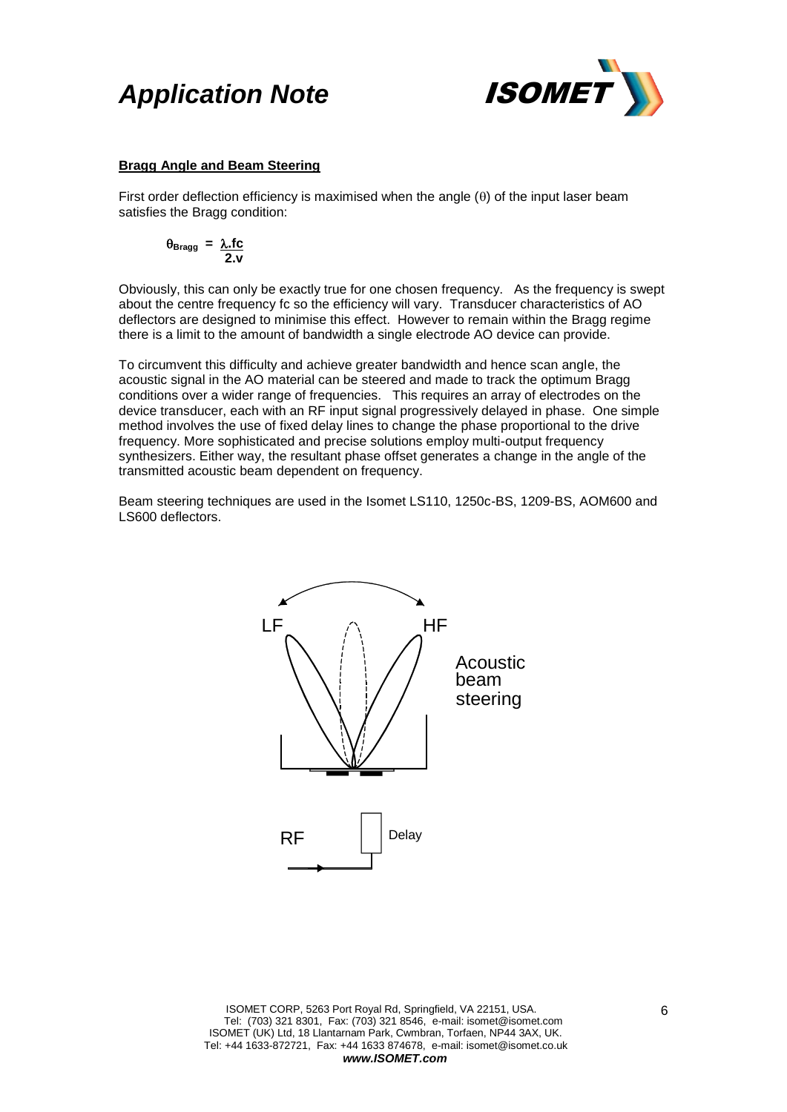### *Application Note* ISOMET



### **Bragg Angle and Beam Steering**

First order deflection efficiency is maximised when the angle  $(\theta)$  of the input laser beam satisfies the Bragg condition:

$$
\theta_{\text{Bragg}} = \frac{\lambda \text{.fc}}{2 \text{.v}}
$$

Obviously, this can only be exactly true for one chosen frequency. As the frequency is swept about the centre frequency fc so the efficiency will vary. Transducer characteristics of AO deflectors are designed to minimise this effect. However to remain within the Bragg regime there is a limit to the amount of bandwidth a single electrode AO device can provide.

To circumvent this difficulty and achieve greater bandwidth and hence scan angle, the acoustic signal in the AO material can be steered and made to track the optimum Bragg conditions over a wider range of frequencies. This requires an array of electrodes on the device transducer, each with an RF input signal progressively delayed in phase. One simple method involves the use of fixed delay lines to change the phase proportional to the drive frequency. More sophisticated and precise solutions employ multi-output frequency synthesizers. Either way, the resultant phase offset generates a change in the angle of the transmitted acoustic beam dependent on frequency.

Beam steering techniques are used in the Isomet LS110, 1250c-BS, 1209-BS, AOM600 and LS600 deflectors.

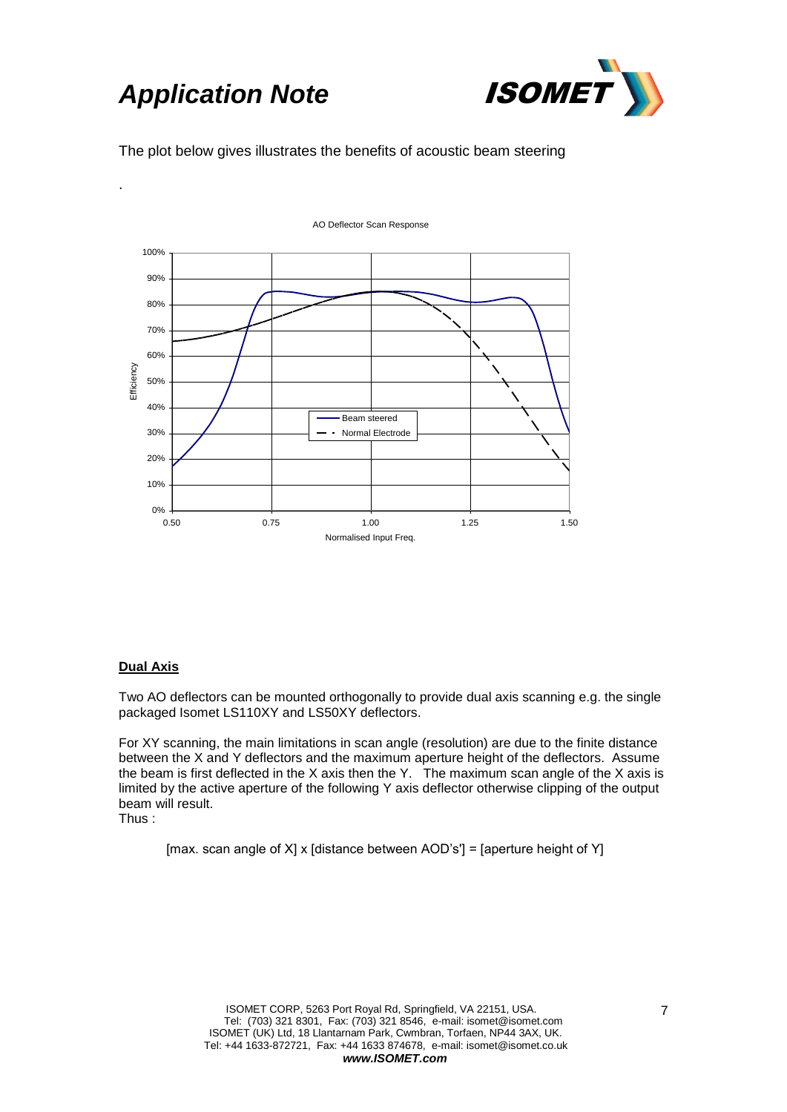# **Application Note <b>ISOMET**

.



The plot below gives illustrates the benefits of acoustic beam steering



### **Dual Axis**

Two AO deflectors can be mounted orthogonally to provide dual axis scanning e.g. the single packaged Isomet LS110XY and LS50XY deflectors.

For XY scanning, the main limitations in scan angle (resolution) are due to the finite distance between the X and Y deflectors and the maximum aperture height of the deflectors. Assume the beam is first deflected in the X axis then the Y. The maximum scan angle of the X axis is limited by the active aperture of the following Y axis deflector otherwise clipping of the output beam will result.

Thus :

[max. scan angle of X] x [distance between AOD's'] = [aperture height of Y]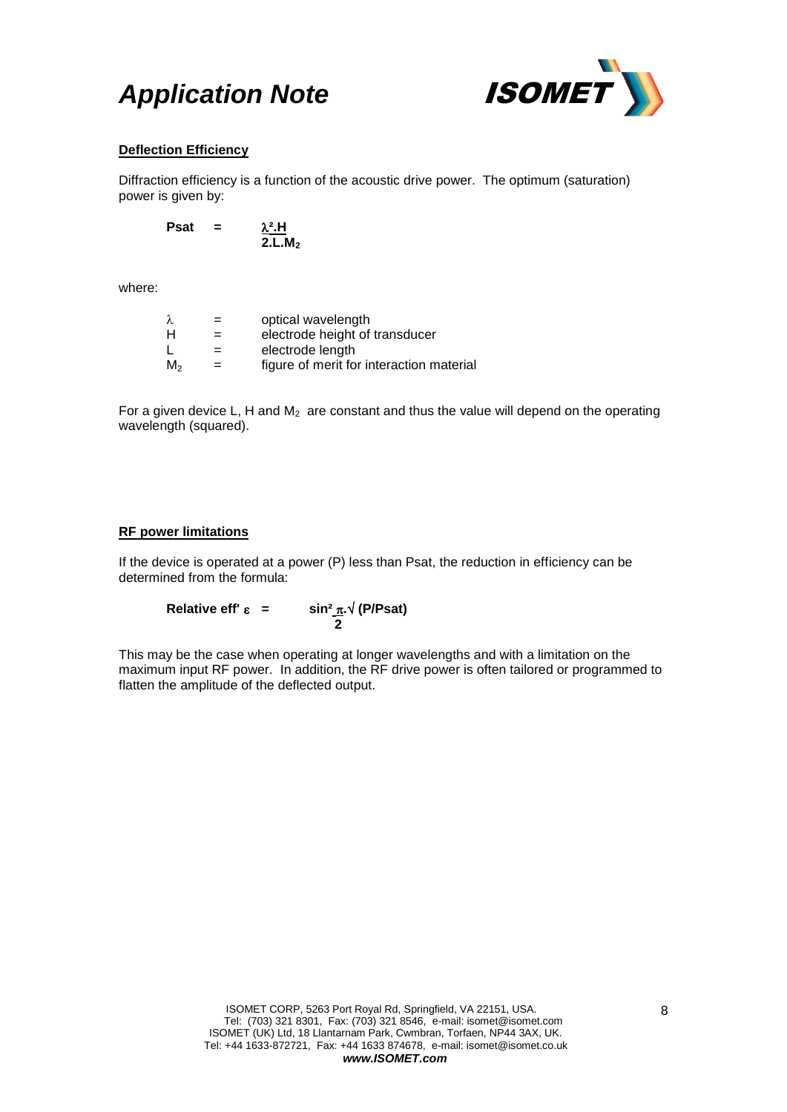# **Application Note <b>ISOMET**



### **Deflection Efficiency**

Diffraction efficiency is a function of the acoustic drive power. The optimum (saturation) power is given by:

**Psat**  $=$  $\frac{\lambda^2.H}{2.L.M_2}$ 

where:

| λ       | $=$ | optical wavelength                       |
|---------|-----|------------------------------------------|
| Н       | $=$ | electrode height of transducer           |
|         | $=$ | electrode length                         |
| $M_{2}$ |     | figure of merit for interaction material |

For a given device L, H and  $M_2$  are constant and thus the value will depend on the operating wavelength (squared).

### **RF power limitations**

If the device is operated at a power (P) less than Psat, the reduction in efficiency can be determined from the formula:

**Relative eff'**  $\varepsilon$  **= sin**<sup>2</sup>  $\pi$  **(P/Psat) 2**

This may be the case when operating at longer wavelengths and with a limitation on the maximum input RF power. In addition, the RF drive power is often tailored or programmed to flatten the amplitude of the deflected output.